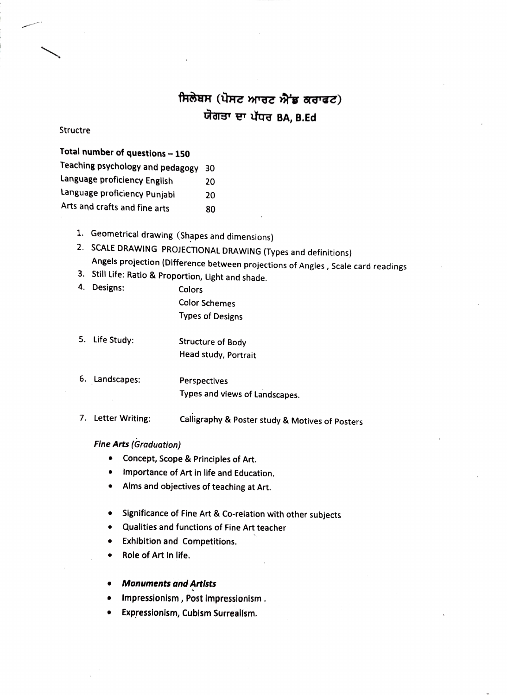## ਸਿਲੇਬਸ (ਪੋਸਟ ਆਰਟ ਐਂਡ ਕਰਾਫਟ)<br>ਯੋਗਤਾ ਦਾ ਪੱਧਰ BA, B.Ed

## Structre

## Total number of questions- 150

| Teaching psychology and pedagogy 30 |     |
|-------------------------------------|-----|
| Language proficiency English        | -20 |
| Language proficiency Punjabi        | 20. |
| $A = 1$                             |     |

- Arts and crafts and fine arts 80
	-

1. Geometrical drawing (Shapes and dimensions)<br>2. SCALE DRAWING PROJECTIONAL DRAWING (Types and definitions) 2. Angels projection (Difference between projections of Angles, Scale card readings<br>3. Still Life: Ratio & Proportion, Light and shade.<br>4. Designs: Colors

- 
- 4. Designs:

Color Schemes Types of Designs

- 5. Life Study: Structure of Body Head study, Portrait
- 6. Landscapes: Perspectives Types and views of Landscapes.
- 7. Letter Writing: Calligraphy & Poster study & Motives of Posters

## Fine Arts (Graduation)

- Concept, Scope & Principles of Art.
- Importance of Art in life and Education.
- Aims and objectives of teaching at Art.
- Significance of Fine Art & Co-relation with other subjects
- Qualities and functions of Fine Art teacher
- Exhibition and Competitions.
- Role of Art in life.  $\bullet$
- Monuments and Artlsts
- Impressionism, Post impressionism.
- Expressionism, Cubism Surreallsm.